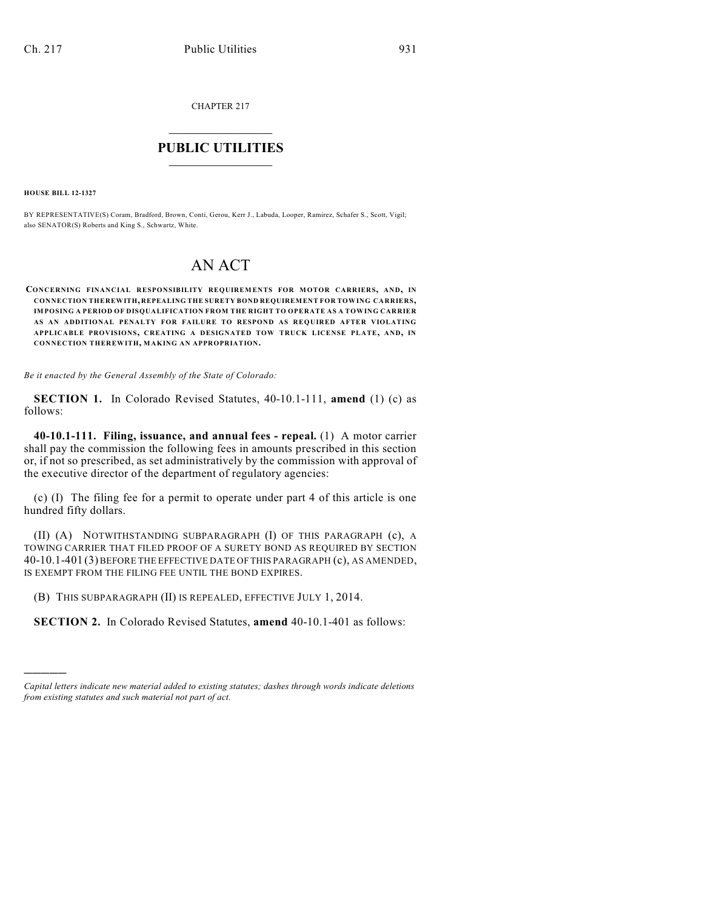CHAPTER 217

## $\mathcal{L}_\text{max}$  . The set of the set of the set of the set of the set of the set of the set of the set of the set of the set of the set of the set of the set of the set of the set of the set of the set of the set of the set **PUBLIC UTILITIES** \_\_\_\_\_\_\_\_\_\_\_\_\_\_\_

**HOUSE BILL 12-1327**

)))))

BY REPRESENTATIVE(S) Coram, Bradford, Brown, Conti, Gerou, Kerr J., Labuda, Looper, Ramirez, Schafer S., Scott, Vigil; also SENATOR(S) Roberts and King S., Schwartz, White.

## AN ACT

**CONCERNING FINANCIAL RESPONSIBILITY REQUIREMENTS FOR MOTOR CARRIERS, AND, IN CONNECTION THEREWITH, REPEALING THE SURETY BOND REQUIREMENT FOR TOWING CARRIERS, IMPOSING A PERIOD OF DISQUALIFICATION FROM THE RIGHT TO OPERATE AS A TOWING CARRIER AS AN ADDITIONAL PENALTY FOR FAILURE TO RESPOND AS REQUIRED AFTER VIOLATING APPLICABLE PROVISIONS, CREATING A DESIGNATED TOW TRUCK LICENSE PLATE, AND, IN CONNECTION THEREWITH, MAKING AN APPROPRIATION.**

*Be it enacted by the General Assembly of the State of Colorado:*

**SECTION 1.** In Colorado Revised Statutes, 40-10.1-111, **amend** (1) (c) as follows:

**40-10.1-111. Filing, issuance, and annual fees - repeal.** (1) A motor carrier shall pay the commission the following fees in amounts prescribed in this section or, if not so prescribed, as set administratively by the commission with approval of the executive director of the department of regulatory agencies:

(c) (I) The filing fee for a permit to operate under part 4 of this article is one hundred fifty dollars.

(II) (A) NOTWITHSTANDING SUBPARAGRAPH (I) OF THIS PARAGRAPH (c), A TOWING CARRIER THAT FILED PROOF OF A SURETY BOND AS REQUIRED BY SECTION 40-10.1-401 (3) BEFORE THE EFFECTIVE DATE OF THIS PARAGRAPH (c), AS AMENDED, IS EXEMPT FROM THE FILING FEE UNTIL THE BOND EXPIRES.

(B) THIS SUBPARAGRAPH (II) IS REPEALED, EFFECTIVE JULY 1, 2014.

**SECTION 2.** In Colorado Revised Statutes, **amend** 40-10.1-401 as follows:

*Capital letters indicate new material added to existing statutes; dashes through words indicate deletions from existing statutes and such material not part of act.*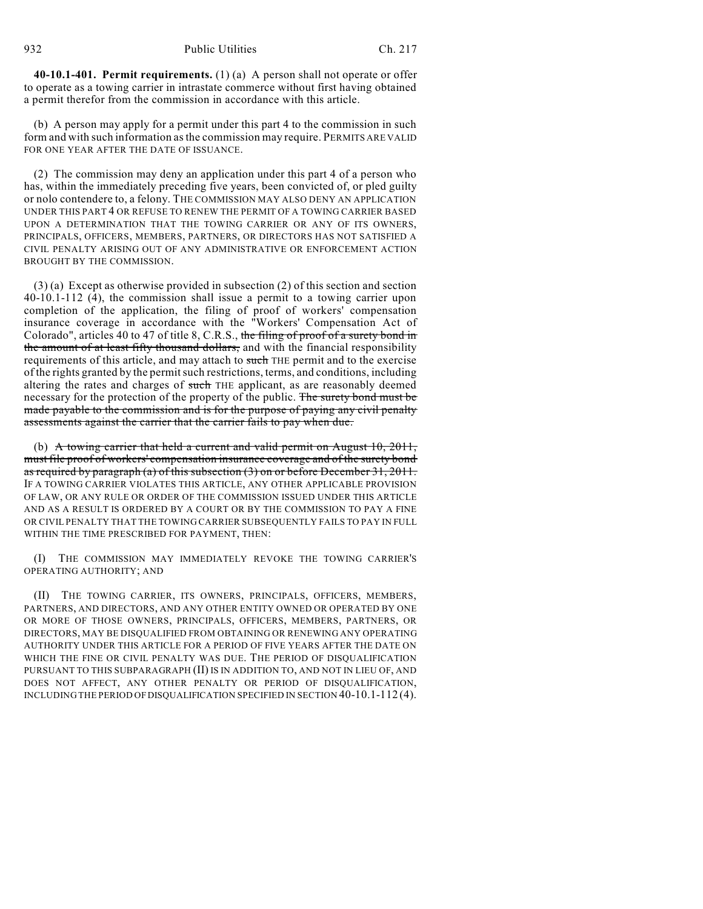**40-10.1-401. Permit requirements.** (1) (a) A person shall not operate or offer to operate as a towing carrier in intrastate commerce without first having obtained a permit therefor from the commission in accordance with this article.

(b) A person may apply for a permit under this part 4 to the commission in such form and with such information asthe commission may require. PERMITS ARE VALID FOR ONE YEAR AFTER THE DATE OF ISSUANCE.

(2) The commission may deny an application under this part 4 of a person who has, within the immediately preceding five years, been convicted of, or pled guilty or nolo contendere to, a felony. THE COMMISSION MAY ALSO DENY AN APPLICATION UNDER THIS PART 4 OR REFUSE TO RENEW THE PERMIT OF A TOWING CARRIER BASED UPON A DETERMINATION THAT THE TOWING CARRIER OR ANY OF ITS OWNERS, PRINCIPALS, OFFICERS, MEMBERS, PARTNERS, OR DIRECTORS HAS NOT SATISFIED A CIVIL PENALTY ARISING OUT OF ANY ADMINISTRATIVE OR ENFORCEMENT ACTION BROUGHT BY THE COMMISSION.

(3) (a) Except as otherwise provided in subsection (2) of this section and section 40-10.1-112 (4), the commission shall issue a permit to a towing carrier upon completion of the application, the filing of proof of workers' compensation insurance coverage in accordance with the "Workers' Compensation Act of Colorado", articles 40 to 47 of title 8, C.R.S., the filing of proof of a surety bond in the amount of at least fifty thousand dollars, and with the financial responsibility requirements of this article, and may attach to such THE permit and to the exercise of the rights granted by the permitsuch restrictions, terms, and conditions, including altering the rates and charges of such THE applicant, as are reasonably deemed necessary for the protection of the property of the public. The surety bond must be made payable to the commission and is for the purpose of paying any civil penalty assessments against the carrier that the carrier fails to pay when due.

(b) A towing carrier that held a current and valid permit on August 10, 2011, must file proof of workers' compensation insurance coverage and of the surety bond as required by paragraph (a) of this subsection (3) on or before December 31, 2011. IF A TOWING CARRIER VIOLATES THIS ARTICLE, ANY OTHER APPLICABLE PROVISION OF LAW, OR ANY RULE OR ORDER OF THE COMMISSION ISSUED UNDER THIS ARTICLE AND AS A RESULT IS ORDERED BY A COURT OR BY THE COMMISSION TO PAY A FINE OR CIVIL PENALTY THAT THE TOWING CARRIER SUBSEQUENTLY FAILS TO PAY IN FULL WITHIN THE TIME PRESCRIBED FOR PAYMENT, THEN:

(I) THE COMMISSION MAY IMMEDIATELY REVOKE THE TOWING CARRIER'S OPERATING AUTHORITY; AND

(II) THE TOWING CARRIER, ITS OWNERS, PRINCIPALS, OFFICERS, MEMBERS, PARTNERS, AND DIRECTORS, AND ANY OTHER ENTITY OWNED OR OPERATED BY ONE OR MORE OF THOSE OWNERS, PRINCIPALS, OFFICERS, MEMBERS, PARTNERS, OR DIRECTORS, MAY BE DISQUALIFIED FROM OBTAINING OR RENEWING ANY OPERATING AUTHORITY UNDER THIS ARTICLE FOR A PERIOD OF FIVE YEARS AFTER THE DATE ON WHICH THE FINE OR CIVIL PENALTY WAS DUE. THE PERIOD OF DISQUALIFICATION PURSUANT TO THIS SUBPARAGRAPH (II) IS IN ADDITION TO, AND NOT IN LIEU OF, AND DOES NOT AFFECT, ANY OTHER PENALTY OR PERIOD OF DISQUALIFICATION, INCLUDING THE PERIOD OFDISQUALIFICATION SPECIFIED IN SECTION 40-10.1-112 (4).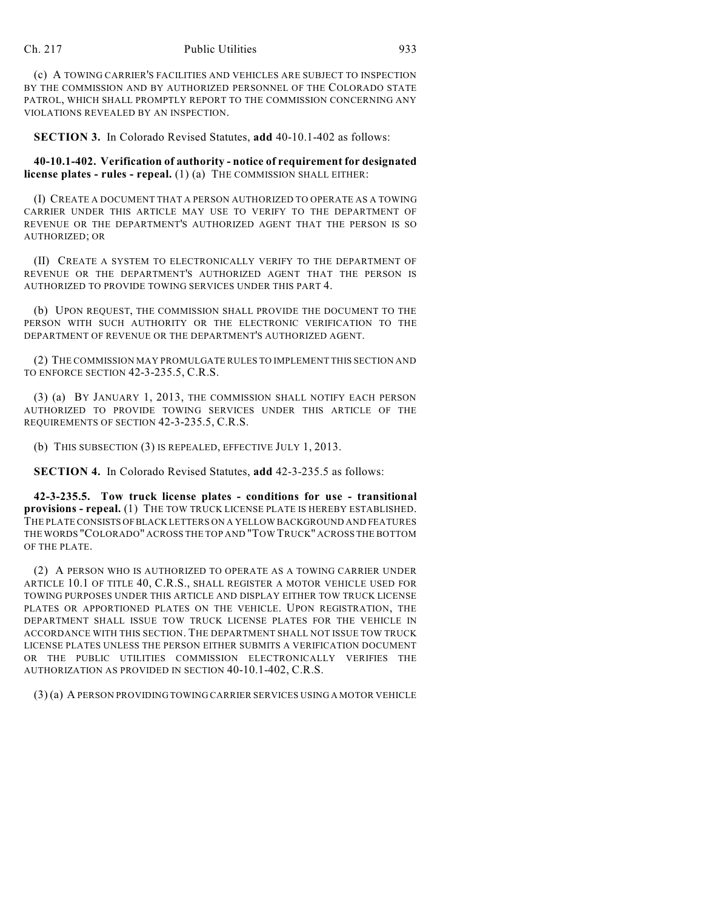(c) A TOWING CARRIER'S FACILITIES AND VEHICLES ARE SUBJECT TO INSPECTION BY THE COMMISSION AND BY AUTHORIZED PERSONNEL OF THE COLORADO STATE PATROL, WHICH SHALL PROMPTLY REPORT TO THE COMMISSION CONCERNING ANY VIOLATIONS REVEALED BY AN INSPECTION.

**SECTION 3.** In Colorado Revised Statutes, **add** 40-10.1-402 as follows:

**40-10.1-402. Verification of authority - notice of requirement for designated license plates - rules - repeal.** (1) (a) THE COMMISSION SHALL EITHER:

(I) CREATE A DOCUMENT THAT A PERSON AUTHORIZED TO OPERATE AS A TOWING CARRIER UNDER THIS ARTICLE MAY USE TO VERIFY TO THE DEPARTMENT OF REVENUE OR THE DEPARTMENT'S AUTHORIZED AGENT THAT THE PERSON IS SO AUTHORIZED; OR

(II) CREATE A SYSTEM TO ELECTRONICALLY VERIFY TO THE DEPARTMENT OF REVENUE OR THE DEPARTMENT'S AUTHORIZED AGENT THAT THE PERSON IS AUTHORIZED TO PROVIDE TOWING SERVICES UNDER THIS PART 4.

(b) UPON REQUEST, THE COMMISSION SHALL PROVIDE THE DOCUMENT TO THE PERSON WITH SUCH AUTHORITY OR THE ELECTRONIC VERIFICATION TO THE DEPARTMENT OF REVENUE OR THE DEPARTMENT'S AUTHORIZED AGENT.

(2) THE COMMISSION MAY PROMULGATE RULES TO IMPLEMENT THIS SECTION AND TO ENFORCE SECTION 42-3-235.5, C.R.S.

(3) (a) BY JANUARY 1, 2013, THE COMMISSION SHALL NOTIFY EACH PERSON AUTHORIZED TO PROVIDE TOWING SERVICES UNDER THIS ARTICLE OF THE REQUIREMENTS OF SECTION 42-3-235.5, C.R.S.

(b) THIS SUBSECTION (3) IS REPEALED, EFFECTIVE JULY 1, 2013.

**SECTION 4.** In Colorado Revised Statutes, **add** 42-3-235.5 as follows:

**42-3-235.5. Tow truck license plates - conditions for use - transitional provisions - repeal.** (1) THE TOW TRUCK LICENSE PLATE IS HEREBY ESTABLISHED. THE PLATE CONSISTS OFBLACK LETTERS ON A YELLOW BACKGROUND AND FEATURES THE WORDS "COLORADO" ACROSS THE TOP AND "TOW TRUCK" ACROSS THE BOTTOM OF THE PLATE.

(2) A PERSON WHO IS AUTHORIZED TO OPERATE AS A TOWING CARRIER UNDER ARTICLE 10.1 OF TITLE 40, C.R.S., SHALL REGISTER A MOTOR VEHICLE USED FOR TOWING PURPOSES UNDER THIS ARTICLE AND DISPLAY EITHER TOW TRUCK LICENSE PLATES OR APPORTIONED PLATES ON THE VEHICLE. UPON REGISTRATION, THE DEPARTMENT SHALL ISSUE TOW TRUCK LICENSE PLATES FOR THE VEHICLE IN ACCORDANCE WITH THIS SECTION. THE DEPARTMENT SHALL NOT ISSUE TOW TRUCK LICENSE PLATES UNLESS THE PERSON EITHER SUBMITS A VERIFICATION DOCUMENT OR THE PUBLIC UTILITIES COMMISSION ELECTRONICALLY VERIFIES THE AUTHORIZATION AS PROVIDED IN SECTION 40-10.1-402, C.R.S.

(3) (a) A PERSON PROVIDING TOWING CARRIER SERVICES USING A MOTOR VEHICLE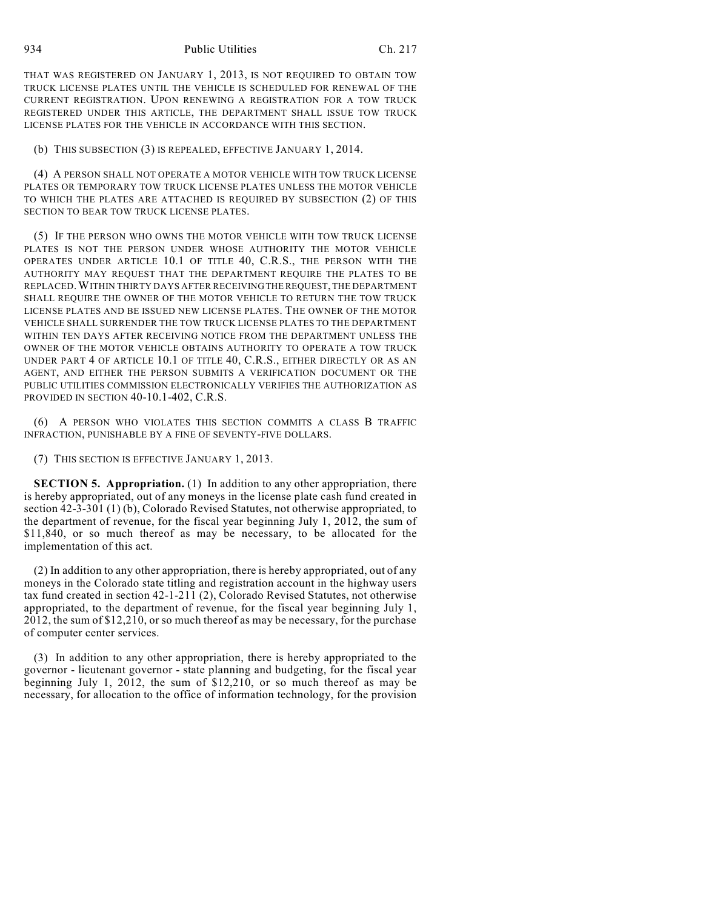THAT WAS REGISTERED ON JANUARY 1, 2013, IS NOT REQUIRED TO OBTAIN TOW TRUCK LICENSE PLATES UNTIL THE VEHICLE IS SCHEDULED FOR RENEWAL OF THE CURRENT REGISTRATION. UPON RENEWING A REGISTRATION FOR A TOW TRUCK REGISTERED UNDER THIS ARTICLE, THE DEPARTMENT SHALL ISSUE TOW TRUCK LICENSE PLATES FOR THE VEHICLE IN ACCORDANCE WITH THIS SECTION.

(b) THIS SUBSECTION (3) IS REPEALED, EFFECTIVE JANUARY 1, 2014.

(4) A PERSON SHALL NOT OPERATE A MOTOR VEHICLE WITH TOW TRUCK LICENSE PLATES OR TEMPORARY TOW TRUCK LICENSE PLATES UNLESS THE MOTOR VEHICLE TO WHICH THE PLATES ARE ATTACHED IS REQUIRED BY SUBSECTION (2) OF THIS SECTION TO BEAR TOW TRUCK LICENSE PLATES.

(5) IF THE PERSON WHO OWNS THE MOTOR VEHICLE WITH TOW TRUCK LICENSE PLATES IS NOT THE PERSON UNDER WHOSE AUTHORITY THE MOTOR VEHICLE OPERATES UNDER ARTICLE 10.1 OF TITLE 40, C.R.S., THE PERSON WITH THE AUTHORITY MAY REQUEST THAT THE DEPARTMENT REQUIRE THE PLATES TO BE REPLACED.WITHIN THIRTY DAYS AFTER RECEIVINGTHEREQUEST, THE DEPARTMENT SHALL REQUIRE THE OWNER OF THE MOTOR VEHICLE TO RETURN THE TOW TRUCK LICENSE PLATES AND BE ISSUED NEW LICENSE PLATES. THE OWNER OF THE MOTOR VEHICLE SHALL SURRENDER THE TOW TRUCK LICENSE PLATES TO THE DEPARTMENT WITHIN TEN DAYS AFTER RECEIVING NOTICE FROM THE DEPARTMENT UNLESS THE OWNER OF THE MOTOR VEHICLE OBTAINS AUTHORITY TO OPERATE A TOW TRUCK UNDER PART 4 OF ARTICLE 10.1 OF TITLE 40, C.R.S., EITHER DIRECTLY OR AS AN AGENT, AND EITHER THE PERSON SUBMITS A VERIFICATION DOCUMENT OR THE PUBLIC UTILITIES COMMISSION ELECTRONICALLY VERIFIES THE AUTHORIZATION AS PROVIDED IN SECTION 40-10.1-402, C.R.S.

(6) A PERSON WHO VIOLATES THIS SECTION COMMITS A CLASS B TRAFFIC INFRACTION, PUNISHABLE BY A FINE OF SEVENTY-FIVE DOLLARS.

(7) THIS SECTION IS EFFECTIVE JANUARY 1, 2013.

**SECTION 5. Appropriation.** (1) In addition to any other appropriation, there is hereby appropriated, out of any moneys in the license plate cash fund created in section 42-3-301 (1) (b), Colorado Revised Statutes, not otherwise appropriated, to the department of revenue, for the fiscal year beginning July 1, 2012, the sum of \$11,840, or so much thereof as may be necessary, to be allocated for the implementation of this act.

(2) In addition to any other appropriation, there is hereby appropriated, out of any moneys in the Colorado state titling and registration account in the highway users tax fund created in section 42-1-211 (2), Colorado Revised Statutes, not otherwise appropriated, to the department of revenue, for the fiscal year beginning July 1, 2012, the sum of \$12,210, or so much thereof as may be necessary, for the purchase of computer center services.

(3) In addition to any other appropriation, there is hereby appropriated to the governor - lieutenant governor - state planning and budgeting, for the fiscal year beginning July 1, 2012, the sum of \$12,210, or so much thereof as may be necessary, for allocation to the office of information technology, for the provision